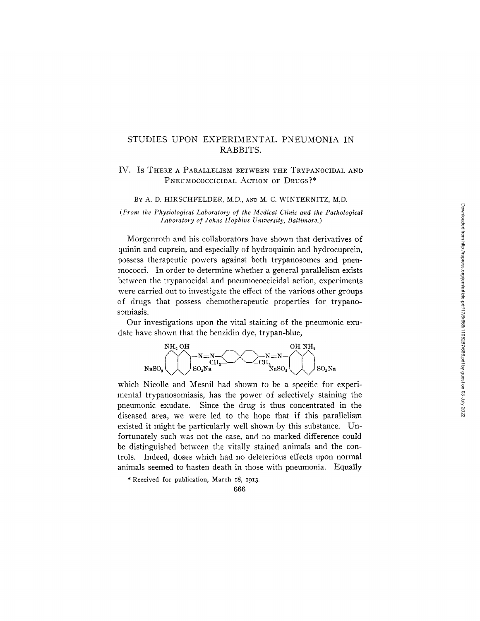## STUDIES UPON EXPERIMENTAL PNEUMONIA IN RABBITS.

### **IV. Is THERE A PARALLELISM BETWEEN THE TRYPANOCIDAL AND**  PNEUMOCOCCICIDAL ACTION OF DRUGS?\*

#### BY A. D. HIRSCHFELDER, M.D., aND M. C. WINTERNITZ, M.D.

*(From the Physiological Laboratory of the Medical Clinic and the Pathological Laboratory of Johns Hopkins University, Baltimore.)* 

Morgenroth and his collaborators have shown that derivatives of quinin and cuprein, and especially of hydroquinin and hydrocuprein, possess therapeutic powers against both trypanosomes and pneumococci. In order to determine whether a general parallelism exists between the trypanocidal and pneumococcicidal action, experiments were carried out to investigate the effect of the various other groups of drugs that possess chemotherapeutic properties for trypanosomiasis.

Our investigations upon the vital staining of the pneumonic exudate have shown that the benzidin dye, trypan-blue,



which Nicolle and Mesnil had shown to be a specific for experimental trypanosomiasis, has the power of selectively staining the pneumonic exudate. Since the drug is thus concentrated in the diseased area, we were led to the hope that if this parallelism existed it might 'be particularly well shown by this substance. Unfortunately such was not the case, and no marked difference could be distinguished between the vitally stained animals and the controls. Indeed, doses which had no deleterious effects upon normal animals seemed to hasten death in those with pneumonia. Equally

\* Received for publication, March 18, I913.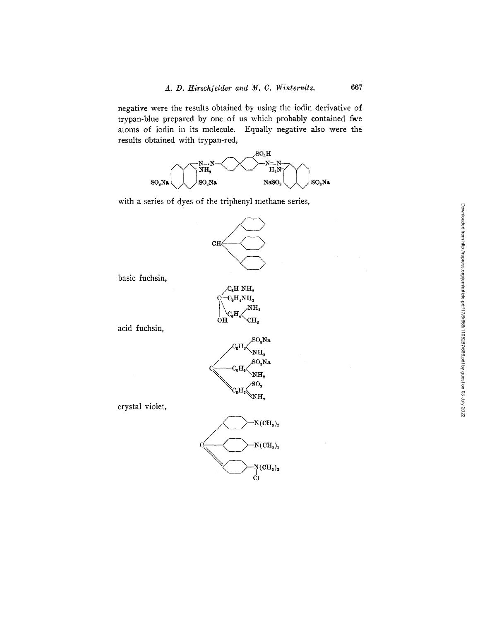negative were the results obtained by using the iodin derivative of trypan-blue prepared by one of us which probably contained five atoms of iodin in its molecule. Equally negative also were the results obtained with trypan-red,



with a series of dyes of the triphenyl methane series,



basic fuchsin,

acid fuchsin,

crystal violet,

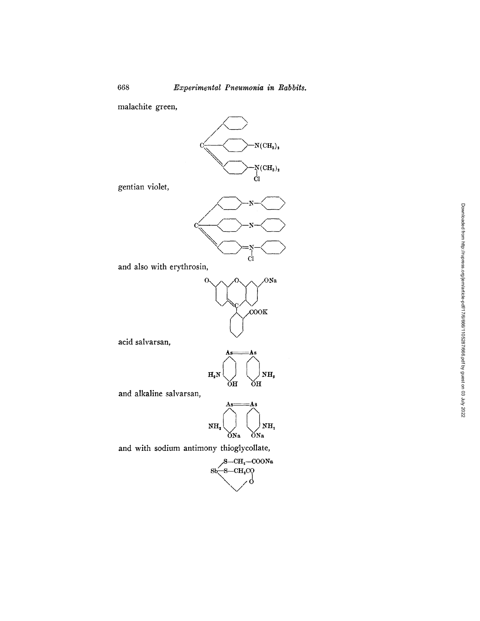malachite green,



gentian violet,



and also with erythrosin,



**acid salvarsan,** 

$$
H_{2}N\overbrace{\bigcup_{\text{OH}}\cdots\bigcup_{\text{OH}}^{As}}^{As\text{}}H_{1}
$$

**and alkaline salvarsan,** 



and with sodium antimony thioglycollate,

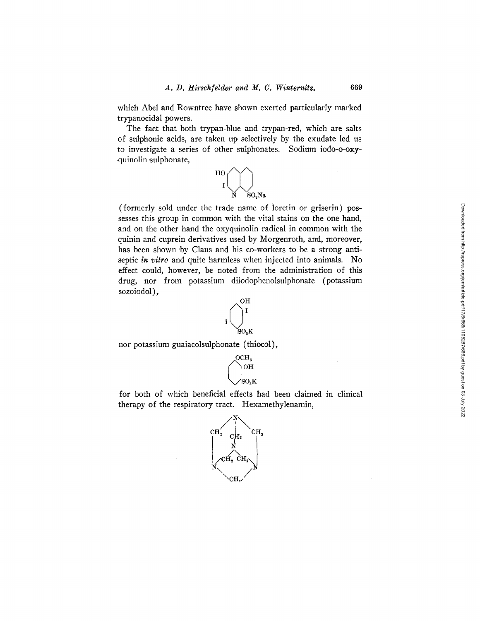which Abel and Rowntree have shown exerted particularly marked trypanocidal powers.

The fact that both trypan-blue and trypan-red, which are salts of sulphonic acids, are taken up selectively by the exudate led us to investigate a series of other sulphonates. Sodium iodo-o-oxyquinolin sulphonate,



(formerly sold under the trade name of ioretin or griserin) possesses this group in common with the vital stains on the one hand, and on the other hand the oxyquinolin radical in common with the quinin and cuprein derivatives used by Morgenroth, and, moreover, has been shown by Claus and his co-workers to be a strong antiseptic *in vitro* and quite harmless when injected into animals. No effect could, however, be noted from the administration of this drug, nor from potassium diiodophenolsulphonate (potassium sozoiodol),



nor potassium guaiacolsulphonate (thiocol),



for both of which beneficial effects had been claimed in clinical therapy of the respiratory tract. Hexamethylenamin,

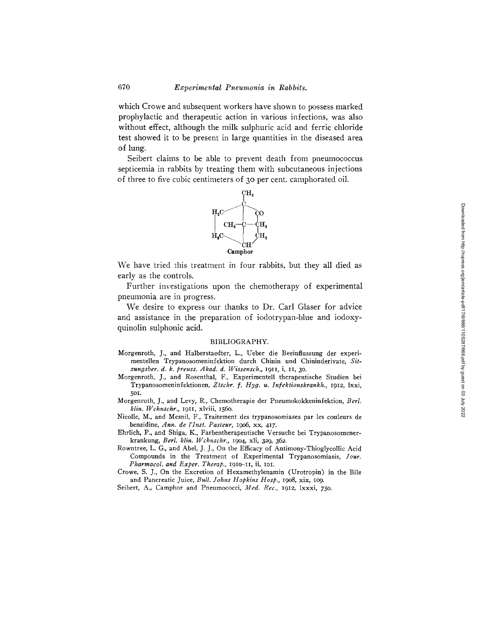which Crowe and subsequent workers have shown to possess marked prophylactic and therapeutic action in various infections, was also without effect, although the milk sulphuric acid and ferric chloride test showed it to be present in large quantities in the diseased area of lung.

Seibert claims to be able to prevent death from pneumococcus septicemia in rabbits by treating them with subcutaneous injections of three to five cubic centimeters of 30 per cent. camphorated oil.



We have tried this treatment in four rabbits, but they all died as early as the controls.

Further investigations upon the chemotherapy of experimental pneumonia are in progress.

We desire to express our thanks to Dr. Carl Glaser for advice and assistance in the preparation of iodotrypan-blue and iodoxyquinolin sulphonic acid.

#### BIBLIOGRAPHY.

- Morgenroth, J., and Halberstaedter, L., Ueber die Beeinflussung der experimentellen Trypanosomcninfektion durch Chinin und Chininderivatc, *Sit*zungsber. d. k. preuss. Akad. d. Wissensch., 1911, i, 11, 30.
- Morgenroth, J., and Rosenthal, F., Experimentell therapeutische Studien bei Trypanosomeninfektionen, *Ztschr. f. Hyg. u. Infektionskrankh.,* 1912, lxxi, 5Ol.
- Morgenroth, J., and Levy, R., Chemotherapie der Pneumokokkeninfektion, *Berl. klin. Wchnschr.,* 1911, xlviii, 156o.
- Nicolle, M., and Mesnil, F., Traitement des trypanosomiases par les couleurs de benzidine, *Ann. de l'Inst. Pasteur,* 19o6, xx, 417.
- Ehrlich, P., and Shiga, K., Farbentherapeutische Versuche bei Trypanosomenerkrankung, *Berl. klin. Wchnschr.,* 19o4, xli, 329, 362.
- Rowntree, L. G., and Abel, J. J., On the Efficacy of Antimony-Thioglycollic Acid Compounds in the Treatment of Experimental Trypanosomiasis, *Jour. Pharmaeol. and Exper. Therap.,* 191o-11, ii, IOI.
- Crowe, S. J., On the Excretion of Hexamethylenamin (Urotropin) in the Bile and Pancreatic Juice, *Bull. Johns Hopkins Hosp.,* 19o8, xix, lO9.

Seibert, A., Camphor and Pneumococci, *Med. Rec.,* 1912, lxxxi, 750.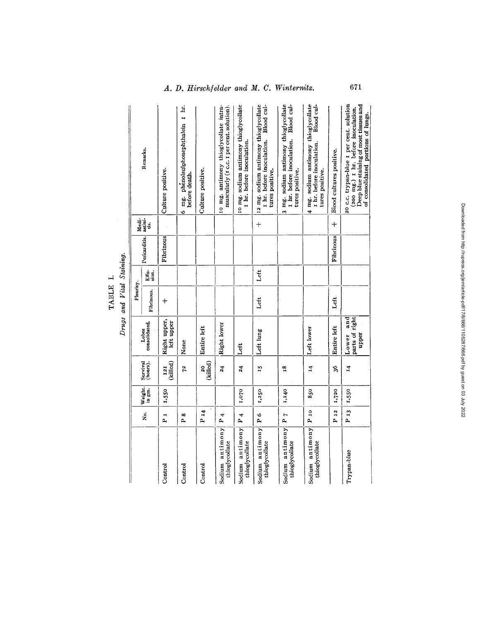| Drugs and Vital Staining. |           | Remarks.<br>Medi-<br>astini-<br>üs.<br>Pericarditis. | Culture positive.<br>Fibrinous | 6 mg. phenolsulphonephthalein 1 hr.<br>before death. | Culture positive.          | 10 mg. antimony thioglycollate intra-<br>muscularly (I c.c. I per cent. solution). | 10 mg. sodium antimony thioglycollate<br>I hr. before inoculation. | 12 mg. sodium antimony thioglycollate<br>I hr. before inoculation. Blood cul-<br>tures positive.<br>$+$ | 3 mg. sodium antimony thioglycollate<br>I hr. before inoculation. Blood cul-<br>tures positive. | 4 mg. sodium antimony thioglycollate<br>Blood cul-<br>I hr. before inoculation.<br>tures positive. | Blood cultures positive.<br>$^{+}$<br>Fibrinous | 20 c.c. trypan-blue 1 per cent. solution<br>Deep blue staining of most tissues and<br>(200 mg.) I hr. before inoculation.<br>of consolidated portions of lungs. |
|---------------------------|-----------|------------------------------------------------------|--------------------------------|------------------------------------------------------|----------------------------|------------------------------------------------------------------------------------|--------------------------------------------------------------------|---------------------------------------------------------------------------------------------------------|-------------------------------------------------------------------------------------------------|----------------------------------------------------------------------------------------------------|-------------------------------------------------|-----------------------------------------------------------------------------------------------------------------------------------------------------------------|
|                           |           | Effu.<br>sion.                                       |                                |                                                      |                            |                                                                                    |                                                                    | Lett                                                                                                    |                                                                                                 |                                                                                                    |                                                 |                                                                                                                                                                 |
|                           | Pleurisy. | Fibrinous.                                           | $\ddag$                        |                                                      |                            |                                                                                    |                                                                    | Left                                                                                                    |                                                                                                 |                                                                                                    | Left                                            |                                                                                                                                                                 |
|                           |           | consolidated.<br>Lobes                               | Right upper,<br>left upper     | None                                                 | Entire left                | Right lower                                                                        | Lett                                                               | Left lung                                                                                               |                                                                                                 | Left lower                                                                                         | Entire left                                     | and<br>parts of right<br>upper<br>Lower                                                                                                                         |
|                           |           | Survival<br>(hours).                                 | (killed)<br>I <sub>2I</sub>    | 72                                                   | (killed)<br>$\overline{a}$ | $\overline{\bf{z}}$                                                                | $\overline{a}$                                                     | <b>LS</b>                                                                                               | 18                                                                                              | $\mathbf{r}$                                                                                       | 3Ó                                              | $\mathbf{r}$                                                                                                                                                    |
|                           |           | Weight.                                              | 1,550                          |                                                      |                            |                                                                                    | 1,070                                                              | 1,250                                                                                                   | 1,140                                                                                           | 850                                                                                                | 1,720                                           | 1,550                                                                                                                                                           |
|                           |           | x.                                                   | r 1                            | ∞<br>$\mathbf{a}$                                    | P <sub>14</sub>            | 4<br>p,                                                                            | $P_4$                                                              | $\frac{6}{1}$                                                                                           | P <sub>7</sub>                                                                                  | $P_{I0}$                                                                                           | P <sub>12</sub>                                 | $P_{13}$                                                                                                                                                        |
|                           |           |                                                      | Control                        | Control                                              | Control                    | Sodium antimony<br>thioglycollate                                                  | Sodium antimony<br>thioglycollate                                  | Sodium antimony<br>thioglycollate                                                                       | Sodium antimony<br>thioglycollate                                                               | Sodium antimony<br>thioglycollate                                                                  |                                                 | Trypan-blue                                                                                                                                                     |

TABLE I.

 $\ddot{\phantom{0}}$ J Vital Ctain

# *A. D. Hirschfelder and M. C. Winternitz.*

671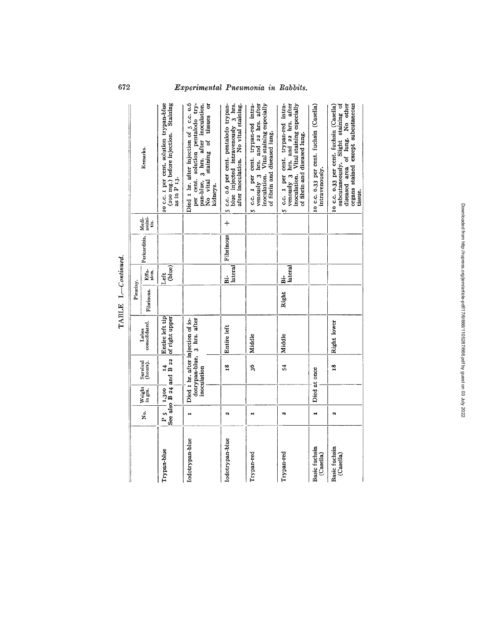|                            |                |        |                                              |                                                                                 | TABLE 1.-Continued. |                     |               |                           |                                                                                                                                                                     |
|----------------------------|----------------|--------|----------------------------------------------|---------------------------------------------------------------------------------|---------------------|---------------------|---------------|---------------------------|---------------------------------------------------------------------------------------------------------------------------------------------------------------------|
|                            |                |        |                                              |                                                                                 | Pleurisy.           |                     |               |                           |                                                                                                                                                                     |
|                            | Σó.            | Weight | Survival<br>(hours).                         | consolidated.<br>Lobes                                                          | Fibrinous.          | Effu-<br>sion.      | Pericarditis. | Medi-<br>1 astini-<br>ds. | Remarks.                                                                                                                                                            |
| Trypan-blue                | P <sub>5</sub> |        | $F 5$   1,300   14<br>See also B 24 and B 22 | Entire left tip<br>of right upper                                               |                     | (blue)<br>Left      |               |                           | (200 mg.) before injection. Staining<br>20 c.c. I per cent. solution trypan-blue<br>as in P <sub>13</sub> .                                                         |
| Iodotrypan-blue            | Η              |        |                                              | dotrypan-blue, 3 hrs. after<br>inoculation<br>Died 1 hr. after injection of io- |                     |                     |               |                           | per cent. solution pentaiodo try-<br>Died 1 hr. after injection of 5 c.c. 0.6<br>pan-blue, 3 hrs. after inoculation.<br>No vital staining of tissues or<br>kidneys. |
| Iodotrypan-blue            | $\alpha$       |        | $\overline{18}$                              | Entire left                                                                     |                     | lateral<br>i.<br>Bi | Fibrinous     | $+$                       | 5 c.c. 0.6 per cent. pentaiodo trypan-<br>blue injected intravenously 3 hrs.<br>after inoculation. No vital staining.                                               |
| Trypan-red                 | н              |        | 36                                           | Middle                                                                          |                     |                     |               |                           | venously 3 hrs. and 22 hrs. after<br>inoculation. Vital staining especially<br>5 c.c. I per cent. trypan-red intra-<br>of fibrin and diseased lung.                 |
| Trypan-red                 | N              |        | 54                                           | Middle                                                                          | Right               | lateral<br>ä        |               |                           | 5 c.c. I per cent. trypan-red intra-<br>venously 3 hrs. and 22 hrs. after<br>inoculation. Vital staining especially<br>of fibrin-and diseased lung.                 |
| Basic fuchsin<br>(Casella) | н              |        | Died at once                                 |                                                                                 |                     |                     |               |                           | 10 c.c. 0.33 per cent. fuchsin (Casella)<br>intravenously.                                                                                                          |
| Basic fuchsin<br>(Casella) | N              |        | $\mathbf{r}^{\mathbf{8}}$                    | Right lower                                                                     |                     |                     |               |                           | diseased area of lung. No other<br>organs stained except subcutaneous<br>subcutaneously. Slight staining of<br>10 c.c. 0.33 per cent. fuchsin (Casella)<br>tissue.  |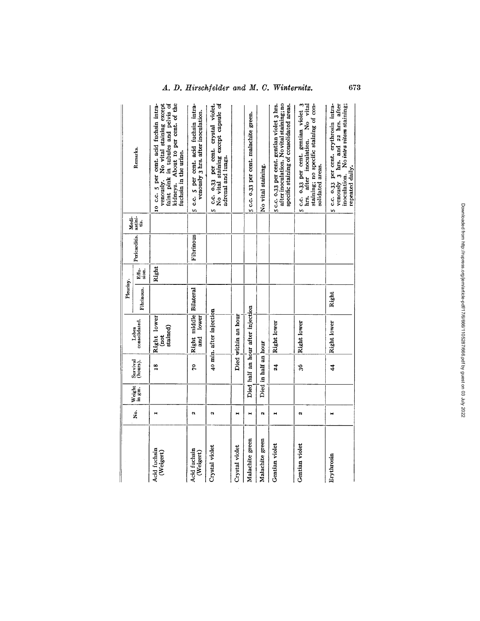$\mathcal{L}^{\text{max}}_{\text{max}}$ 

|                           |                    |                                                           |                      |                                     | Pleurisy.  |                |               | Medi.           |                                                                                                                                                                                     |
|---------------------------|--------------------|-----------------------------------------------------------|----------------------|-------------------------------------|------------|----------------|---------------|-----------------|-------------------------------------------------------------------------------------------------------------------------------------------------------------------------------------|
|                           | s.<br>2            | $W = \begin{bmatrix} 1 \\ 1 \\ 2 \\ 3 \\ 4 \end{bmatrix}$ | Survival<br>(hours). | consolidated.<br>Lobes              | Fibrinous. | Effu.<br>sion. | Pericarditis. | astini-<br>tis. | Remarks.                                                                                                                                                                            |
| Acid fuchsin<br>(Weigert) | Ħ                  |                                                           | $\overline{18}$      | Right lower<br>stained)<br>(not     |            | Right          |               |                 | kidneys. About 10 per cent. of the<br>venously. No vital staining except<br>faint pink in tubules and pelvis of<br>10 c.c. 5 per cent. acid fuchsin intra-<br>fuchsin in the urine. |
| Acid fuchsin<br>(Weigert) | N                  |                                                           | g                    | Right middle Bilateral<br>and lower |            |                | Fibrinous     |                 | 5 c.c. 5 per cent. acid fuchsin intra-<br>venously 3 hrs. after inoculation.                                                                                                        |
| Crystal violet            | Ń                  |                                                           |                      | 40 min. after injection             |            |                |               |                 | c.c. 0.33 per cent. crystal violet.<br>No vital staining except capsule of<br>adrenal and lungs.<br>m                                                                               |
| Crystal violet            | Ħ                  |                                                           |                      | Died within an hour                 |            |                |               |                 |                                                                                                                                                                                     |
| Malachite green           | н                  |                                                           |                      | Died half an hour after injection   |            |                |               |                 | 5 c.c. 0.33 per cent. malachite green.                                                                                                                                              |
| Malachite green           | $\mathbf{\hat{z}}$ |                                                           | Died in half an hour |                                     |            |                |               |                 | No vital staining.                                                                                                                                                                  |
| Gentian violet            | н                  |                                                           | 24                   | Right lower                         |            |                |               |                 | after inoculation. No vital staining; no<br>5 c.c. 0.33 per cent. gentian violet 3 hrs.<br>specific staining of consolidated areas.                                                 |
| Gentian violet            | N                  |                                                           | ş6                   | Right lower                         |            |                |               |                 | 5 c.c. 0.33 per cent. gentian violet 3<br>hrs. after inoculation. No vital<br>staining; no specific staining of con-<br>solidated areas.                                            |
| Erythrosin                |                    |                                                           | $\frac{4}{3}$        | Right lower                         | Right      |                |               |                 | venously 3 hrs. and 22 hrs. after<br>5 c.c. 0.33 per cent. erythrosin intra-<br>inoculation. No intra vitam staining;<br>repeated daily.                                            |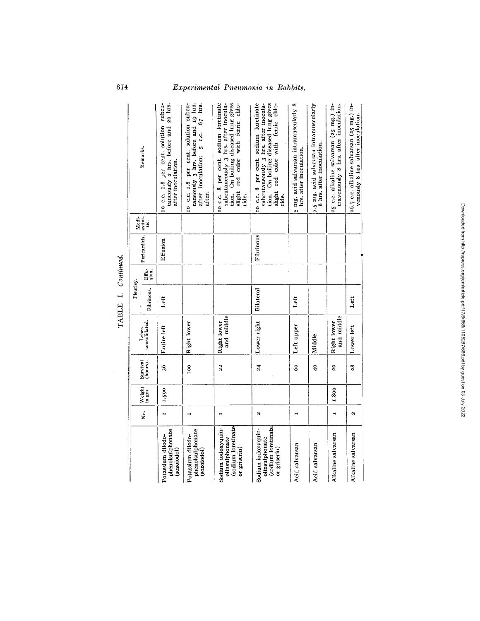|                                                                            |                |                  |                      |                           | $TABLEI - Countinued.$ |                |               |                       |                                                                                                                                                                      |
|----------------------------------------------------------------------------|----------------|------------------|----------------------|---------------------------|------------------------|----------------|---------------|-----------------------|----------------------------------------------------------------------------------------------------------------------------------------------------------------------|
|                                                                            |                |                  |                      |                           | Pleurisy.              |                |               |                       |                                                                                                                                                                      |
|                                                                            | ż.             | Weight<br>in gm. | Survival<br>(hours). | consolidated.<br>Lobes    | Fibrinous.             | Effu.<br>sion. | Pericarditis. | Medi<br>astini-<br>á. | Remarks.                                                                                                                                                             |
| phenolsulphonate<br>Potassium diiodo-<br>(sozoiodol)                       | $\alpha$       | 1,590            | 36                   | Entire left               | Left                   |                | Effusion      |                       | 10 c.c. 1.8 per cent. solution subcu-<br>taneously 2 hrs. before and 20 hrs.<br>after inoculation.                                                                   |
| phenolsulphonate<br>Potassium diiodo-<br>(sozoiodol)                       | $\blacksquare$ |                  | 100                  | Right lower               |                        |                |               |                       | 10 C.C. 1.8 per cent. solution subcu-<br>taneously 3 hrs. before and 19 hrs.<br>after inoculation; 5 c.c. 67 hrs.<br>after.                                          |
| sodium loretinate<br>Sodium iodoxyquin-<br>olinsulphonate<br>or griserin)  | Ħ              |                  | 22                   | and middle<br>Right lower |                        |                |               |                       | subcutaneously 3 hrs. after inocula-<br>tion. On boiling diseased lung gives<br>10 c.c. 8 per cent. sodium loretinate<br>slight red color with ferric chlo-<br>ride. |
| (sodium loretinate<br>Sodium iodoxyquin-<br>olinsulphonate<br>or griserin) | Ń              |                  | 24                   | Lower right               | Bilateral              |                | Fibrinous     |                       | 10 c.c. 8 per cent. sodium loretinate<br>tion. On boiling diseased lung gives<br>slight red color with ferric chlo-<br>subcutaneously 3 hrs. after inocula-<br>ride. |
| Acid salvarsan                                                             | н              |                  | Ŝ0                   | Left upper                | Left                   |                |               |                       | 5 mg. acid salvarsan intramuscularly 8<br>hrs. after inoculation.                                                                                                    |
| Acid salvarsan                                                             |                |                  | ą                    | Middle                    |                        |                |               |                       | 7.5 mg. acid salvarsan intramuscularly<br>8 hrs. after inoculation.                                                                                                  |
| Alkaline salvarsan                                                         | Ħ              | 1,800            | $\overline{c}$       | and middle<br>Right lower |                        |                |               |                       | 25 c.c. alkaline salvarsan (25 mg.) in-<br>travenously 8 hrs. after inoculation.                                                                                     |
| Alkaline salvarsan                                                         | ø              |                  | 28                   | Lower left                | Left                   |                |               |                       | 26.7 c.c. alkaline salvarsan (25 mg.) in-<br>venously 8 hrs. after inoculation.                                                                                      |
|                                                                            |                |                  |                      |                           |                        |                |               |                       |                                                                                                                                                                      |

*m ffl* 

*L) I.*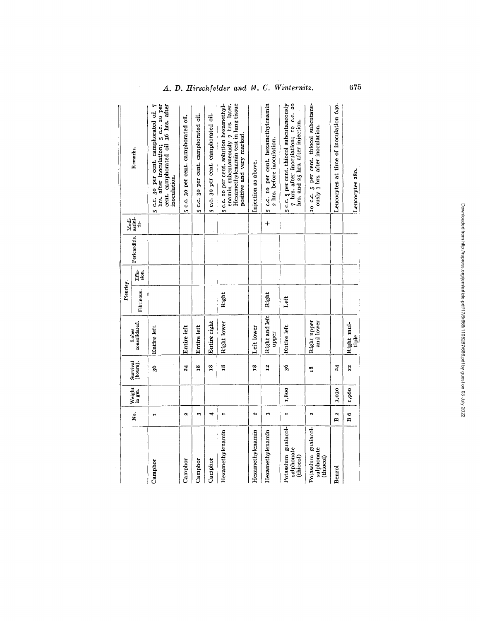$\parallel$ 

|                                                |                      |        |                      |                          | Pleurisy.  |       |               |                          |                                                                                                                                                      |
|------------------------------------------------|----------------------|--------|----------------------|--------------------------|------------|-------|---------------|--------------------------|------------------------------------------------------------------------------------------------------------------------------------------------------|
|                                                | Ż.                   | Weight | Survival<br>(hours). | consolidated.<br>Lobes   | Fibrinous. | Effu- | Pericarditis. | Medi-<br>astini-<br>tis. | Remarks.                                                                                                                                             |
| Camphor                                        | н                    |        | Ş,                   | Entire left              |            |       |               |                          | hrs. after inoculation; 5 c.c. 20 per cent. camphorated oil 36 hrs. after<br>5 c.c. 30 per cent. camphorated oil 7<br>inoculation.                   |
| Camphor                                        | ø                    |        | 24                   | Entire left              |            |       |               |                          | 5 c.c. 30 per cent. camphorated oil.                                                                                                                 |
| Camphor                                        | S                    |        | $\frac{8}{10}$       | Entire left              |            |       |               |                          | 5 c.c. 30 per cent. camphorated oil.                                                                                                                 |
| Camphor                                        | 4                    |        | $\overline{18}$      | Entire right             |            |       |               |                          | 5 c.c. 30 per cent. camphorated oil.                                                                                                                 |
| Hexamethylenamin                               | н                    |        | 18                   | Right lower              | Right      |       |               |                          | enamin subcutaneously 7 hrs. later.<br>Hexamethylenamin test in lung tissue<br>5 c.c. 10 per cent. solution hexamethyl-<br>positive and very marked. |
| Hexamethylenamin                               | ø                    |        | $\overline{18}$      | Left lower               |            |       |               |                          | Injection as above.                                                                                                                                  |
| Hexamethylenamin                               | $\ddot{\phantom{0}}$ |        | 12                   | Right and left<br>upper  | Right      |       |               | $\ddot{+}$               | 5 c.c. 10 per cent. hexamethylenamin<br>a hrs. before inoculation.                                                                                   |
| Potassium guaiacol-<br>sulphonate<br>(thiocol) | н                    | 1,800  | 36                   | Entire left              | Left       |       |               |                          | 5 c.c. 5 per cent. thiocol subcutaneously<br>7 hrs. after inoculation; 10 c.c. 20<br>hrs. and 25 hrs. after injection.                               |
| Potassium guaiacol-<br>sulphonate<br>(thiocol) | $\alpha$             |        | $\frac{8}{10}$       | Right upper<br>and lower |            |       |               |                          | 10 c.c. 5 per cent. thiocol subcutane-<br>ously 7 hrs. after inoculation.                                                                            |
| Benzol                                         | α<br>ã               | 3,030  | $\overline{24}$      |                          |            |       |               |                          | Leucocytes at time of inoculation 640.                                                                                                               |
|                                                | B ó                  | 1,960  | 22                   | Right mul-<br>tiple      |            |       |               |                          | Leucocytes 280.                                                                                                                                      |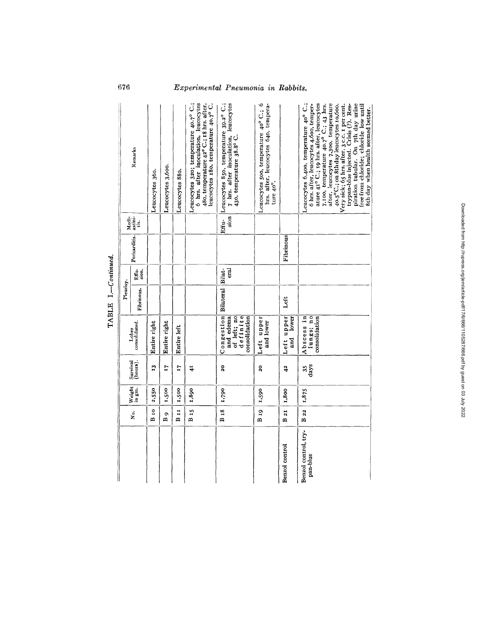|                                  |                  |        |                          |                                                                     | Pleurisy.        |            |               |                          |                                                                                                                                                                                                                                                                                                                                                                                                                                                                                 |
|----------------------------------|------------------|--------|--------------------------|---------------------------------------------------------------------|------------------|------------|---------------|--------------------------|---------------------------------------------------------------------------------------------------------------------------------------------------------------------------------------------------------------------------------------------------------------------------------------------------------------------------------------------------------------------------------------------------------------------------------------------------------------------------------|
|                                  | No.              | Weight | Survival<br>(hours).     | consolidated.<br>Lobes                                              | Fibrinous.       | Effis.     | Pericarditis. | Medi-<br>astini-<br>tis. | Remarks                                                                                                                                                                                                                                                                                                                                                                                                                                                                         |
|                                  | $B_{I0}$         | 2,550  | r3                       | Entire right                                                        |                  |            |               |                          | Leucocytes 360.                                                                                                                                                                                                                                                                                                                                                                                                                                                                 |
|                                  | $\overline{B}$ 9 | 1,500  | T <sub>7</sub>           | Entire right                                                        |                  |            |               |                          | Leucocytes 3,600.                                                                                                                                                                                                                                                                                                                                                                                                                                                               |
|                                  | BII              | 1,500  | LI.                      | Entire left                                                         |                  |            |               |                          | Leucocytes 880.                                                                                                                                                                                                                                                                                                                                                                                                                                                                 |
|                                  | $B_{15}$         | 1,890  | $\ddot{4}$               |                                                                     |                  |            |               |                          | Leucocytes 320; temperature 40.7° C.;<br>6 hrs. after inoculation, leucocytes<br>480, temperature 42° C; 18 hrs. after,<br>leucocytes 180, temperature 40.7° C.                                                                                                                                                                                                                                                                                                                 |
|                                  | $B_{18}$         | 1,790  | $\overline{a}$           | Congestion<br>definite<br>of left; no<br>and edema<br>consolidation | Bilateral Bilat- | <b>Tal</b> |               | sion<br>Effu-            | Leucocytes 850, temperature 39.2° C.;<br>7 hrs. after inoculation, leucocytes<br>430, temperature 38.8° C.                                                                                                                                                                                                                                                                                                                                                                      |
|                                  | B 19             | 1,590  | 20                       | Left upper<br>and lower                                             |                  |            |               |                          | Leucocytes 500, temperature 40° C.; 6<br>hrs. after, leucocytes 640, tempera-<br>ture 40°.                                                                                                                                                                                                                                                                                                                                                                                      |
| Benzol control                   | $B_{2I}$         | 1,800  | $\frac{2}{4}$            | Left upper<br>lower<br>and                                          | Left             |            | Fibrinous     |                          |                                                                                                                                                                                                                                                                                                                                                                                                                                                                                 |
| Benzol control, try-<br>pan-blue | B 22             | 1,875  | $\frac{35}{\text{days}}$ | Abscess in<br>lungs; no<br>consolidation                            |                  |            |               |                          | Leucocytes 6,400, temperature 40° C.;<br>ature 41° C.; 19 hrs. after, leucocytes<br>after, leucocytes 7,300, temperature<br>6 hrs. after, leucocytes 4,600, temper-<br>$40.5^{\circ}$ C.; on 8th day leucocytes 10,600.<br>Very sick; 65 hrs. after, 3 c.c. 1 per cent.<br>piration tubular. On 7th day urine<br>7,100, temperature 40.7° C.; 43 hrs.<br>trypan-blue injected. Crisis (?). Res-<br>free from chloride; chloride low until<br>8th day when health seemed better. |

 $\tilde{\mathbf{C}}$  . I. **<**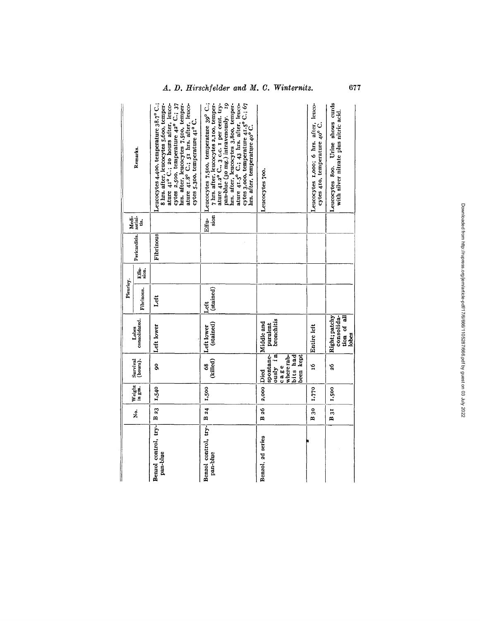|                                  |                                             |            |                                                                              |                                                     | Pleurisy.         |          |               |                        |                                                                                                                                                                                                                                                                                                                                |
|----------------------------------|---------------------------------------------|------------|------------------------------------------------------------------------------|-----------------------------------------------------|-------------------|----------|---------------|------------------------|--------------------------------------------------------------------------------------------------------------------------------------------------------------------------------------------------------------------------------------------------------------------------------------------------------------------------------|
|                                  | ż.                                          | Weight     | Survival<br>(hours).                                                         | consolidated.<br>Lobes                              | Fibrinous.        | Efficia. | Pericarditis. | Medi-<br>astini-<br>ģ. | Remarks.                                                                                                                                                                                                                                                                                                                       |
| Benzol control, try-<br>pan-blue | $\begin{array}{c} \n 8 & 23 \n \end{array}$ | 1,540      | g                                                                            | Left lower                                          | Left              |          | Fibrinous     |                        | Leucocytes 4,400, temperature 38.7°C.;<br>8 hrs. after, leucocytes 5,600, temper-<br>hrs. after, leucocytes 7,500, temper-<br>ature 41° C.; 20 hours after, leuco-<br>cytes 2,500, temperature 42° C.; 37<br>ature 41.8° C.; 51 hrs. after, leuco-<br>cytes 5.300, temperature 41° C.                                          |
| Benzol control, try-<br>pan-blue | $B_{24}$                                    | 1,500      | (killed)<br>68                                                               | (stained)<br>Left lower                             | (stained)<br>Left |          |               | sion<br>Effu-          | 7 hrs. after, leucocytes 2,100, temper-<br>ature 41.2° C., 3 c.c. I per cent. try-<br>pan-blue (30 mg.) intravenously. 19<br>Leucocytes 7,500, temperature 39° C.;<br>hrs. after, leucocytes 3,800, temper-<br>ature 41.5° C.; 43 hrs. after, leuco-<br>cytes 3,000, temperature 41.5° C.; 67<br>hrs. after, temperature 40°C. |
| Benzol, 2d series                | B 26                                        | 2,000 Died | $\alpha$ usly in<br>spontane-<br>where rab-<br>bits had<br>been kept<br>cage | purulent<br>bronchitis<br>Middle and                |                   |          |               |                        | Leucocytes 700.                                                                                                                                                                                                                                                                                                                |
|                                  | $B_{30}$                                    | 1,770      | ម្ពុ                                                                         | Entire left                                         |                   |          |               |                        | Leucocytes 1,000; 6 hrs. after, leuco-<br>cytes 410, temperature 40° C.                                                                                                                                                                                                                                                        |
|                                  | $B_{3I}$                                    | 1,500      | 2Ó                                                                           | Right; patchy<br>consolida-<br>tion of all<br>lobes |                   |          |               |                        | Urine shows curds<br>with silver nitrate plus nitric acid.<br>Leucocytes 800.                                                                                                                                                                                                                                                  |